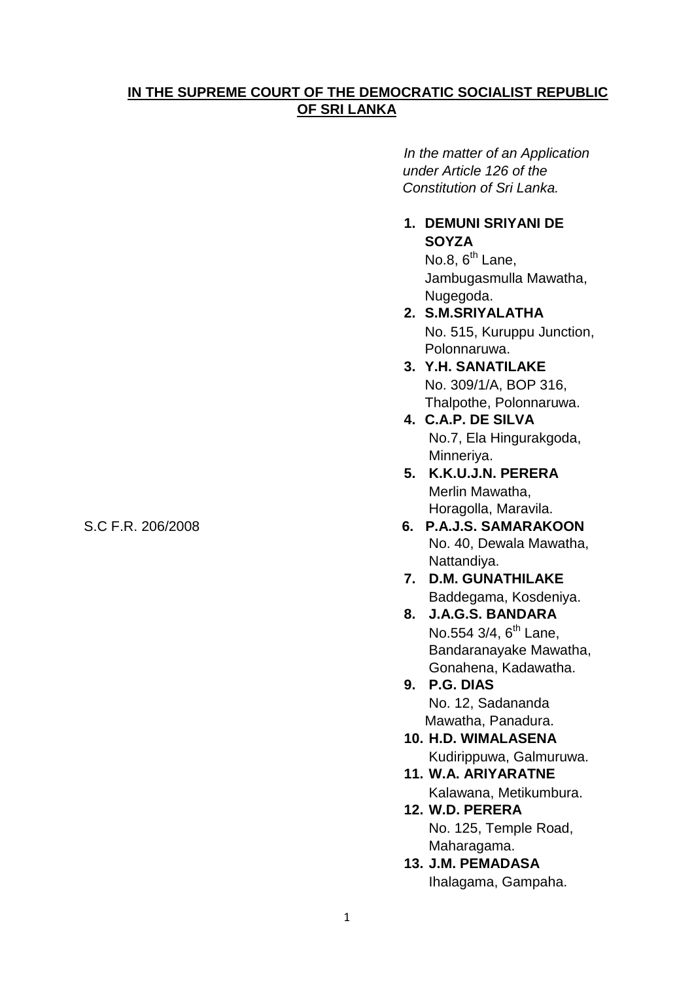# **IN THE SUPREME COURT OF THE DEMOCRATIC SOCIALIST REPUBLIC OF SRI LANKA**

 *In the matter of an Application under Article 126 of the Constitution of Sri Lanka.*

## **1. DEMUNI SRIYANI DE SOYZA**

No.8,  $6^{th}$  Lane, Jambugasmulla Mawatha, Nugegoda.

- **2. S.M.SRIYALATHA** No. 515, Kuruppu Junction, Polonnaruwa.
- **3. Y.H. SANATILAKE** No. 309/1/A, BOP 316, Thalpothe, Polonnaruwa.
- **4. C.A.P. DE SILVA** No.7, Ela Hingurakgoda, Minneriya.
- **5. K.K.U.J.N. PERERA** Merlin Mawatha, Horagolla, Maravila.
- S.C F.R. 206/2008 **6. P.A.J.S. SAMARAKOON** No. 40, Dewala Mawatha, Nattandiya.
	- **7. D.M. GUNATHILAKE** Baddegama, Kosdeniya.
	- **8. J.A.G.S. BANDARA** No.554 3/4, 6<sup>th</sup> Lane, Bandaranayake Mawatha, Gonahena, Kadawatha.
	- **9. P.G. DIAS** No. 12, Sadananda Mawatha, Panadura.
	- **10. H.D. WIMALASENA** Kudirippuwa, Galmuruwa.
	- **11. W.A. ARIYARATNE** Kalawana, Metikumbura.
	- **12. W.D. PERERA** No. 125, Temple Road, Maharagama.
	- **13. J.M. PEMADASA** Ihalagama, Gampaha.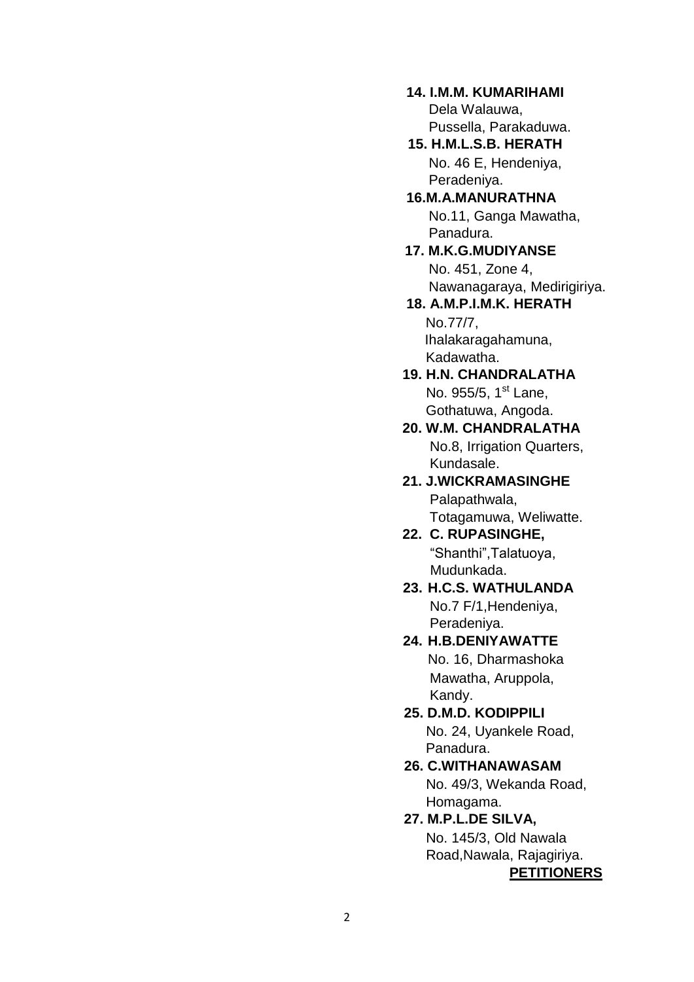# **14. I.M.M. KUMARIHAMI**

Dela Walauwa, Pussella, Parakaduwa. **15. H.M.L.S.B. HERATH**

No. 46 E, Hendeniya, Peradeniya.

#### **16.M.A.MANURATHNA** No.11, Ganga Mawatha, Panadura.

 **17. M.K.G.MUDIYANSE** No. 451, Zone 4, Nawanagaraya, Medirigiriya.

#### **18. A.M.P.I.M.K. HERATH** No.77/7, Ihalakaragahamuna,

Kadawatha.

#### **19. H.N. CHANDRALATHA** No. 955/5, 1<sup>st</sup> Lane, Gothatuwa, Angoda.

 **20. W.M. CHANDRALATHA** No.8, Irrigation Quarters, Kundasale.

#### **21. J.WICKRAMASINGHE** Palapathwala, Totagamuwa, Weliwatte.

 **22. C. RUPASINGHE,** "Shanthi",Talatuoya, Mudunkada.

# **23. H.C.S. WATHULANDA** No.7 F/1,Hendeniya, Peradeniya.

# **24. H.B.DENIYAWATTE**

No. 16, Dharmashoka Mawatha, Aruppola, Kandy.

**25. D.M.D. KODIPPILI** No. 24, Uyankele Road, Panadura.

## **26. C.WITHANAWASAM** No. 49/3, Wekanda Road, Homagama.

# **27. M.P.L.DE SILVA,**

 No. 145/3, Old Nawala Road,Nawala, Rajagiriya. **PETITIONERS**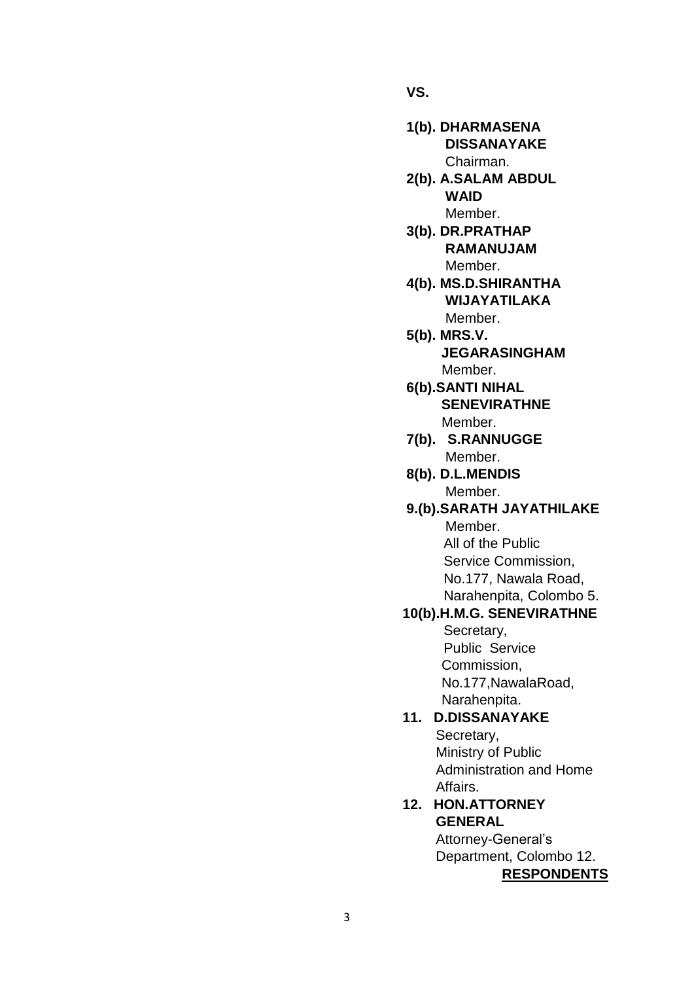**VS.**

- **1(b). DHARMASENA DISSANAYAKE** Chairman.
- **2(b). A.SALAM ABDUL**  *WAID* **WAID** *Member.*  $\blacksquare$ 
	- **3(b). DR.PRATHAP RAMANUJAM** Member.
	- **4(b). MS.D.SHIRANTHA WIJAYATILAKA** Member.
	- **5(b). MRS.V. JEGARASINGHAM** Member.
	- **6(b).SANTI NIHAL SENEVIRATHNE** Member.
	- **7(b). S.RANNUGGE** Member.
	- **8(b). D.L.MENDIS** Member.
	- **9.(b).SARATH JAYATHILAKE** Member.

All of the Public Service Commission, No.177, Nawala Road, Narahenpita, Colombo 5.

#### **10(b).H.M.G. SENEVIRATHNE**

Secretary, Public Service Commission, No.177,NawalaRoad, Narahenpita.

# **11. D.DISSANAYAKE**

Secretary, Ministry of Public Administration and Home Affairs.

# **12. HON.ATTORNEY GENERAL**

Attorney-General's Department, Colombo 12. **RESPONDENTS**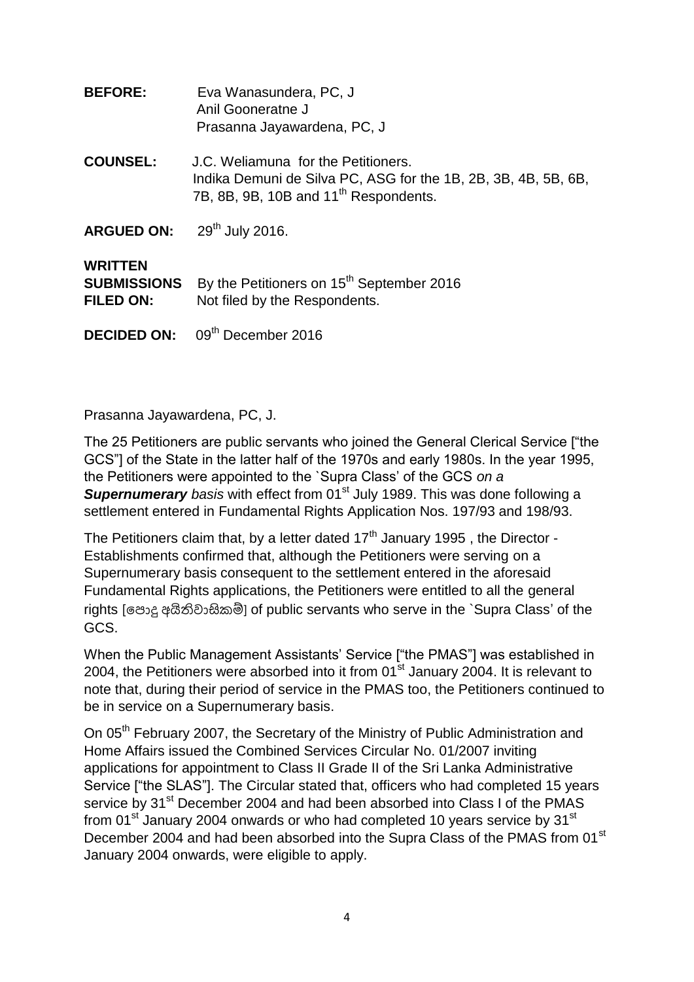| <b>BEFORE:</b>                                           | Eva Wanasundera, PC, J<br>Anil Gooneratne J<br>Prasanna Jayawardena, PC, J                                                                                 |
|----------------------------------------------------------|------------------------------------------------------------------------------------------------------------------------------------------------------------|
| <b>COUNSEL:</b>                                          | J.C. Weliamuna for the Petitioners.<br>Indika Demuni de Silva PC, ASG for the 1B, 2B, 3B, 4B, 5B, 6B,<br>7B, 8B, 9B, 10B and 11 <sup>th</sup> Respondents. |
| <b>ARGUED ON:</b>                                        | 29 <sup>th</sup> July 2016.                                                                                                                                |
| <b>WRITTEN</b><br><b>SUBMISSIONS</b><br><b>FILED ON:</b> | By the Petitioners on 15 <sup>th</sup> September 2016<br>Not filed by the Respondents.                                                                     |
| <b>DECIDED ON:</b>                                       | 09 <sup>th</sup> December 2016                                                                                                                             |

Prasanna Jayawardena, PC, J.

The 25 Petitioners are public servants who joined the General Clerical Service ["the GCS"] of the State in the latter half of the 1970s and early 1980s. In the year 1995, the Petitioners were appointed to the `Supra Class" of the GCS *on a*  **Supernumerary** basis with effect from 01<sup>st</sup> July 1989. This was done following a settlement entered in Fundamental Rights Application Nos. 197/93 and 198/93.

The Petitioners claim that, by a letter dated  $17<sup>th</sup>$  January 1995, the Director -Establishments confirmed that, although the Petitioners were serving on a Supernumerary basis consequent to the settlement entered in the aforesaid Fundamental Rights applications, the Petitioners were entitled to all the general rights [පොදු අයිතිවාසිකම්] of public servants who serve in the `Supra Class' of the GCS.

When the Public Management Assistants' Service ["the PMAS"] was established in 2004, the Petitioners were absorbed into it from  $01<sup>st</sup>$  January 2004. It is relevant to note that, during their period of service in the PMAS too, the Petitioners continued to be in service on a Supernumerary basis.

On 05<sup>th</sup> February 2007, the Secretary of the Ministry of Public Administration and Home Affairs issued the Combined Services Circular No. 01/2007 inviting applications for appointment to Class II Grade II of the Sri Lanka Administrative Service ["the SLAS"]. The Circular stated that, officers who had completed 15 years service by 31<sup>st</sup> December 2004 and had been absorbed into Class I of the PMAS from 01<sup>st</sup> January 2004 onwards or who had completed 10 years service by 31<sup>st</sup> December 2004 and had been absorbed into the Supra Class of the PMAS from 01<sup>st</sup> January 2004 onwards, were eligible to apply.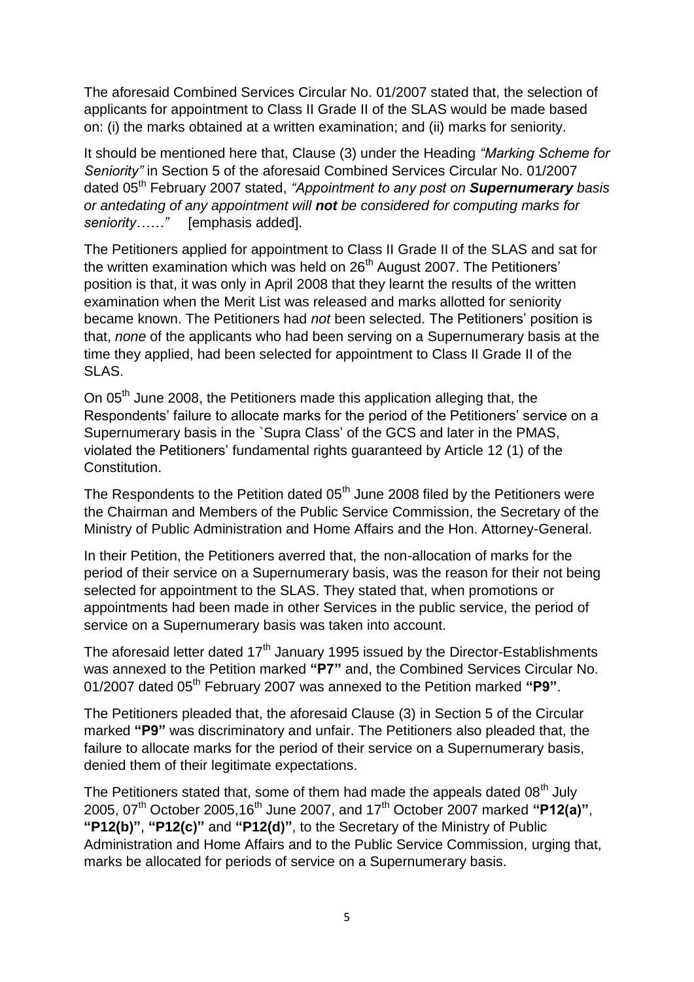The aforesaid Combined Services Circular No. 01/2007 stated that, the selection of applicants for appointment to Class II Grade II of the SLAS would be made based on: (i) the marks obtained at a written examination; and (ii) marks for seniority.

It should be mentioned here that, Clause (3) under the Heading *"Marking Scheme for Seniority"* in Section 5 of the aforesaid Combined Services Circular No. 01/2007 dated 05th February 2007 stated, *"Appointment to any post on Supernumerary basis or antedating of any appointment will not be considered for computing marks for seniority……"* [emphasis added].

The Petitioners applied for appointment to Class II Grade II of the SLAS and sat for the written examination which was held on  $26<sup>th</sup>$  August 2007. The Petitioners' position is that, it was only in April 2008 that they learnt the results of the written examination when the Merit List was released and marks allotted for seniority became known. The Petitioners had *not* been selected. The Petitioners" position is that, *none* of the applicants who had been serving on a Supernumerary basis at the time they applied, had been selected for appointment to Class II Grade II of the SLAS.

On 05<sup>th</sup> June 2008, the Petitioners made this application alleging that, the Respondents' failure to allocate marks for the period of the Petitioners' service on a Supernumerary basis in the `Supra Class" of the GCS and later in the PMAS, violated the Petitioners" fundamental rights guaranteed by Article 12 (1) of the Constitution.

The Respondents to the Petition dated  $05<sup>th</sup>$  June 2008 filed by the Petitioners were the Chairman and Members of the Public Service Commission, the Secretary of the Ministry of Public Administration and Home Affairs and the Hon. Attorney-General.

In their Petition, the Petitioners averred that, the non-allocation of marks for the period of their service on a Supernumerary basis, was the reason for their not being selected for appointment to the SLAS. They stated that, when promotions or appointments had been made in other Services in the public service, the period of service on a Supernumerary basis was taken into account.

The aforesaid letter dated 17<sup>th</sup> January 1995 issued by the Director-Establishments was annexed to the Petition marked **"P7"** and, the Combined Services Circular No. 01/2007 dated 05th February 2007 was annexed to the Petition marked **"P9"**.

The Petitioners pleaded that, the aforesaid Clause (3) in Section 5 of the Circular marked **"P9"** was discriminatory and unfair. The Petitioners also pleaded that, the failure to allocate marks for the period of their service on a Supernumerary basis, denied them of their legitimate expectations.

The Petitioners stated that, some of them had made the appeals dated  $08<sup>th</sup>$  July 2005, 07th October 2005,16th June 2007, and 17th October 2007 marked **"P12(a)"**, **"P12(b)"**, **"P12(c)"** and **"P12(d)"**, to the Secretary of the Ministry of Public Administration and Home Affairs and to the Public Service Commission, urging that, marks be allocated for periods of service on a Supernumerary basis.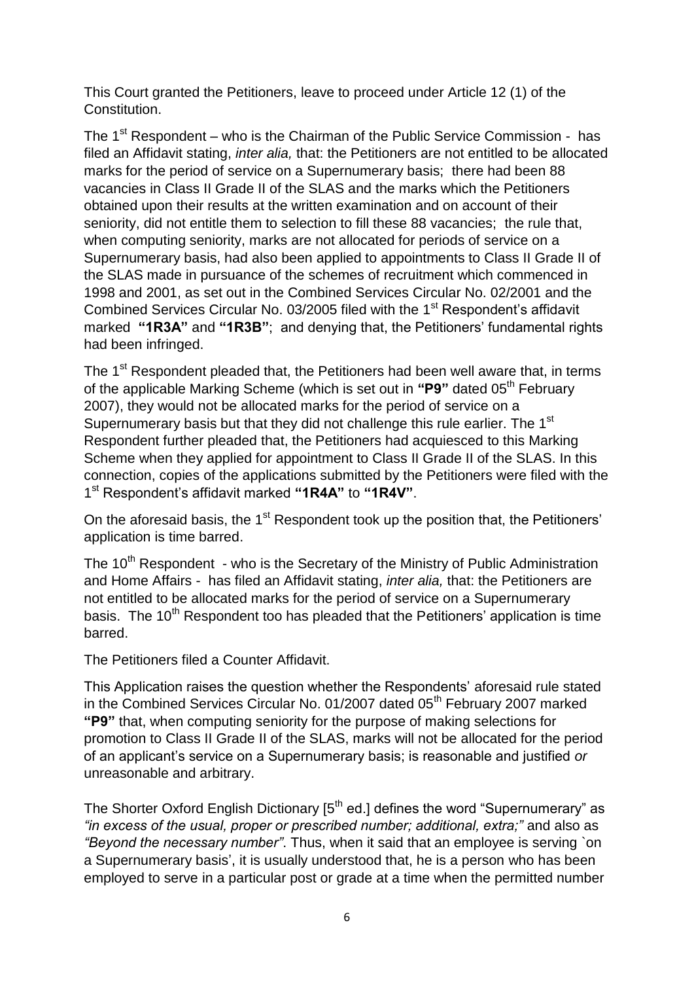This Court granted the Petitioners, leave to proceed under Article 12 (1) of the Constitution.

The  $1<sup>st</sup>$  Respondent – who is the Chairman of the Public Service Commission - has filed an Affidavit stating, *inter alia,* that: the Petitioners are not entitled to be allocated marks for the period of service on a Supernumerary basis; there had been 88 vacancies in Class II Grade II of the SLAS and the marks which the Petitioners obtained upon their results at the written examination and on account of their seniority, did not entitle them to selection to fill these 88 vacancies; the rule that, when computing seniority, marks are not allocated for periods of service on a Supernumerary basis, had also been applied to appointments to Class II Grade II of the SLAS made in pursuance of the schemes of recruitment which commenced in 1998 and 2001, as set out in the Combined Services Circular No. 02/2001 and the Combined Services Circular No. 03/2005 filed with the 1<sup>st</sup> Respondent's affidavit marked **"1R3A"** and **"1R3B"**; and denying that, the Petitioners" fundamental rights had been infringed.

The 1<sup>st</sup> Respondent pleaded that, the Petitioners had been well aware that, in terms of the applicable Marking Scheme (which is set out in "P9" dated 05<sup>th</sup> February 2007), they would not be allocated marks for the period of service on a Supernumerary basis but that they did not challenge this rule earlier. The 1<sup>st</sup> Respondent further pleaded that, the Petitioners had acquiesced to this Marking Scheme when they applied for appointment to Class II Grade II of the SLAS. In this connection, copies of the applications submitted by the Petitioners were filed with the 1 st Respondent"s affidavit marked **"1R4A"** to **"1R4V"**.

On the aforesaid basis, the 1<sup>st</sup> Respondent took up the position that, the Petitioners' application is time barred.

The 10<sup>th</sup> Respondent - who is the Secretary of the Ministry of Public Administration and Home Affairs - has filed an Affidavit stating, *inter alia,* that: the Petitioners are not entitled to be allocated marks for the period of service on a Supernumerary basis. The 10<sup>th</sup> Respondent too has pleaded that the Petitioners' application is time barred.

The Petitioners filed a Counter Affidavit.

This Application raises the question whether the Respondents" aforesaid rule stated in the Combined Services Circular No. 01/2007 dated 05<sup>th</sup> February 2007 marked **"P9"** that, when computing seniority for the purpose of making selections for promotion to Class II Grade II of the SLAS, marks will not be allocated for the period of an applicant"s service on a Supernumerary basis; is reasonable and justified *or* unreasonable and arbitrary.

The Shorter Oxford English Dictionary  $5<sup>th</sup>$  ed.] defines the word "Supernumerary" as *"in excess of the usual, proper or prescribed number; additional, extra;"* and also as *"Beyond the necessary number"*. Thus, when it said that an employee is serving `on a Supernumerary basis", it is usually understood that, he is a person who has been employed to serve in a particular post or grade at a time when the permitted number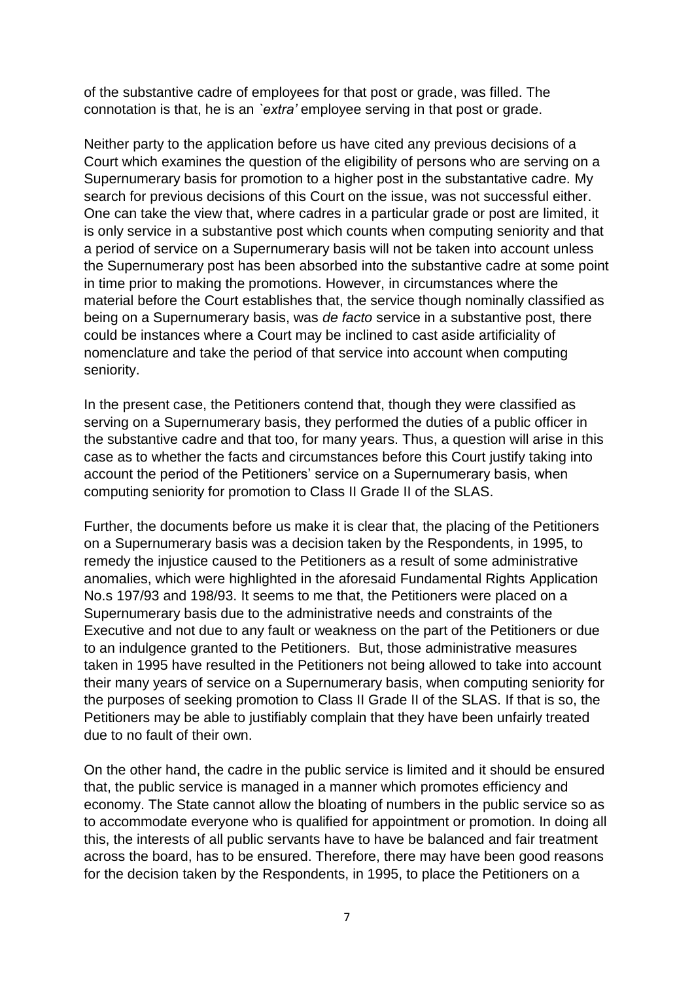of the substantive cadre of employees for that post or grade, was filled. The connotation is that, he is an *`extra'* employee serving in that post or grade.

Neither party to the application before us have cited any previous decisions of a Court which examines the question of the eligibility of persons who are serving on a Supernumerary basis for promotion to a higher post in the substantative cadre. My search for previous decisions of this Court on the issue, was not successful either. One can take the view that, where cadres in a particular grade or post are limited, it is only service in a substantive post which counts when computing seniority and that a period of service on a Supernumerary basis will not be taken into account unless the Supernumerary post has been absorbed into the substantive cadre at some point in time prior to making the promotions. However, in circumstances where the material before the Court establishes that, the service though nominally classified as being on a Supernumerary basis, was *de facto* service in a substantive post, there could be instances where a Court may be inclined to cast aside artificiality of nomenclature and take the period of that service into account when computing seniority.

In the present case, the Petitioners contend that, though they were classified as serving on a Supernumerary basis, they performed the duties of a public officer in the substantive cadre and that too, for many years. Thus, a question will arise in this case as to whether the facts and circumstances before this Court justify taking into account the period of the Petitioners' service on a Supernumerary basis, when computing seniority for promotion to Class II Grade II of the SLAS.

Further, the documents before us make it is clear that, the placing of the Petitioners on a Supernumerary basis was a decision taken by the Respondents, in 1995, to remedy the injustice caused to the Petitioners as a result of some administrative anomalies, which were highlighted in the aforesaid Fundamental Rights Application No.s 197/93 and 198/93. It seems to me that, the Petitioners were placed on a Supernumerary basis due to the administrative needs and constraints of the Executive and not due to any fault or weakness on the part of the Petitioners or due to an indulgence granted to the Petitioners. But, those administrative measures taken in 1995 have resulted in the Petitioners not being allowed to take into account their many years of service on a Supernumerary basis, when computing seniority for the purposes of seeking promotion to Class II Grade II of the SLAS. If that is so, the Petitioners may be able to justifiably complain that they have been unfairly treated due to no fault of their own.

On the other hand, the cadre in the public service is limited and it should be ensured that, the public service is managed in a manner which promotes efficiency and economy. The State cannot allow the bloating of numbers in the public service so as to accommodate everyone who is qualified for appointment or promotion. In doing all this, the interests of all public servants have to have be balanced and fair treatment across the board, has to be ensured. Therefore, there may have been good reasons for the decision taken by the Respondents, in 1995, to place the Petitioners on a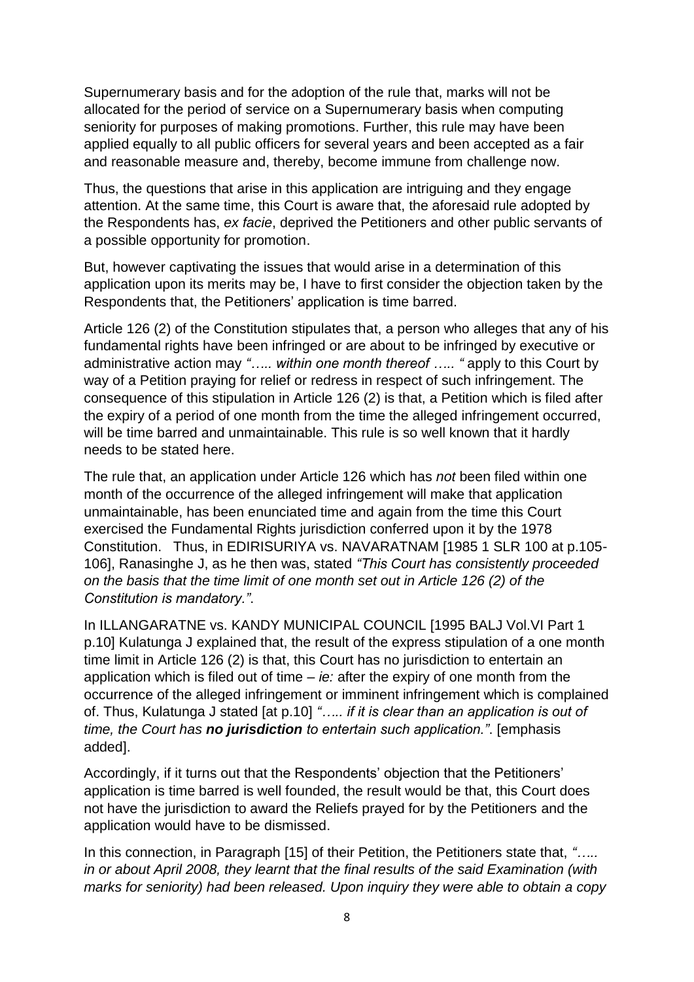Supernumerary basis and for the adoption of the rule that, marks will not be allocated for the period of service on a Supernumerary basis when computing seniority for purposes of making promotions. Further, this rule may have been applied equally to all public officers for several years and been accepted as a fair and reasonable measure and, thereby, become immune from challenge now.

Thus, the questions that arise in this application are intriguing and they engage attention. At the same time, this Court is aware that, the aforesaid rule adopted by the Respondents has, *ex facie*, deprived the Petitioners and other public servants of a possible opportunity for promotion.

But, however captivating the issues that would arise in a determination of this application upon its merits may be, I have to first consider the objection taken by the Respondents that, the Petitioners" application is time barred.

Article 126 (2) of the Constitution stipulates that, a person who alleges that any of his fundamental rights have been infringed or are about to be infringed by executive or administrative action may *"….. within one month thereof ….. "* apply to this Court by way of a Petition praying for relief or redress in respect of such infringement. The consequence of this stipulation in Article 126 (2) is that, a Petition which is filed after the expiry of a period of one month from the time the alleged infringement occurred, will be time barred and unmaintainable. This rule is so well known that it hardly needs to be stated here.

The rule that, an application under Article 126 which has *not* been filed within one month of the occurrence of the alleged infringement will make that application unmaintainable, has been enunciated time and again from the time this Court exercised the Fundamental Rights jurisdiction conferred upon it by the 1978 Constitution. Thus, in EDIRISURIYA vs. NAVARATNAM [1985 1 SLR 100 at p.105- 106], Ranasinghe J, as he then was, stated *"This Court has consistently proceeded on the basis that the time limit of one month set out in Article 126 (2) of the Constitution is mandatory."*.

In ILLANGARATNE vs. KANDY MUNICIPAL COUNCIL [1995 BALJ Vol.VI Part 1 p.10] Kulatunga J explained that, the result of the express stipulation of a one month time limit in Article 126 (2) is that, this Court has no jurisdiction to entertain an application which is filed out of time – *ie:* after the expiry of one month from the occurrence of the alleged infringement or imminent infringement which is complained of. Thus, Kulatunga J stated [at p.10] *"….. if it is clear than an application is out of time, the Court has no jurisdiction to entertain such application."*. [emphasis added].

Accordingly, if it turns out that the Respondents' objection that the Petitioners' application is time barred is well founded, the result would be that, this Court does not have the jurisdiction to award the Reliefs prayed for by the Petitioners and the application would have to be dismissed.

In this connection, in Paragraph [15] of their Petition, the Petitioners state that, *"….. in or about April 2008, they learnt that the final results of the said Examination (with marks for seniority) had been released. Upon inquiry they were able to obtain a copy*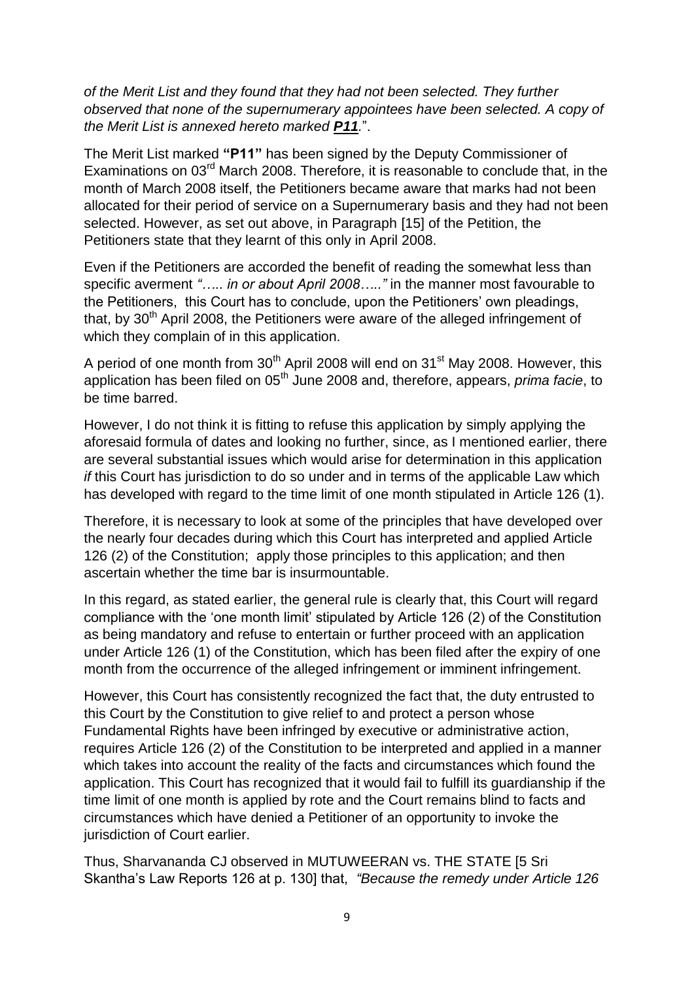*of the Merit List and they found that they had not been selected. They further observed that none of the supernumerary appointees have been selected. A copy of the Merit List is annexed hereto marked P11.*".

The Merit List marked **"P11"** has been signed by the Deputy Commissioner of Examinations on 03<sup>rd</sup> March 2008. Therefore, it is reasonable to conclude that, in the month of March 2008 itself, the Petitioners became aware that marks had not been allocated for their period of service on a Supernumerary basis and they had not been selected. However, as set out above, in Paragraph [15] of the Petition, the Petitioners state that they learnt of this only in April 2008.

Even if the Petitioners are accorded the benefit of reading the somewhat less than specific averment *"….. in or about April 2008….."* in the manner most favourable to the Petitioners, this Court has to conclude, upon the Petitioners" own pleadings, that, by  $30<sup>th</sup>$  April 2008, the Petitioners were aware of the alleged infringement of which they complain of in this application.

A period of one month from 30<sup>th</sup> April 2008 will end on 31<sup>st</sup> May 2008. However, this application has been filed on 05<sup>th</sup> June 2008 and, therefore, appears, *prima facie*, to be time barred.

However, I do not think it is fitting to refuse this application by simply applying the aforesaid formula of dates and looking no further, since, as I mentioned earlier, there are several substantial issues which would arise for determination in this application *if* this Court has jurisdiction to do so under and in terms of the applicable Law which has developed with regard to the time limit of one month stipulated in Article 126 (1).

Therefore, it is necessary to look at some of the principles that have developed over the nearly four decades during which this Court has interpreted and applied Article 126 (2) of the Constitution; apply those principles to this application; and then ascertain whether the time bar is insurmountable.

In this regard, as stated earlier, the general rule is clearly that, this Court will regard compliance with the "one month limit" stipulated by Article 126 (2) of the Constitution as being mandatory and refuse to entertain or further proceed with an application under Article 126 (1) of the Constitution, which has been filed after the expiry of one month from the occurrence of the alleged infringement or imminent infringement.

However, this Court has consistently recognized the fact that, the duty entrusted to this Court by the Constitution to give relief to and protect a person whose Fundamental Rights have been infringed by executive or administrative action, requires Article 126 (2) of the Constitution to be interpreted and applied in a manner which takes into account the reality of the facts and circumstances which found the application. This Court has recognized that it would fail to fulfill its guardianship if the time limit of one month is applied by rote and the Court remains blind to facts and circumstances which have denied a Petitioner of an opportunity to invoke the jurisdiction of Court earlier.

Thus, Sharvananda CJ observed in MUTUWEERAN vs. THE STATE [5 Sri Skantha"s Law Reports 126 at p. 130] that, *"Because the remedy under Article 126*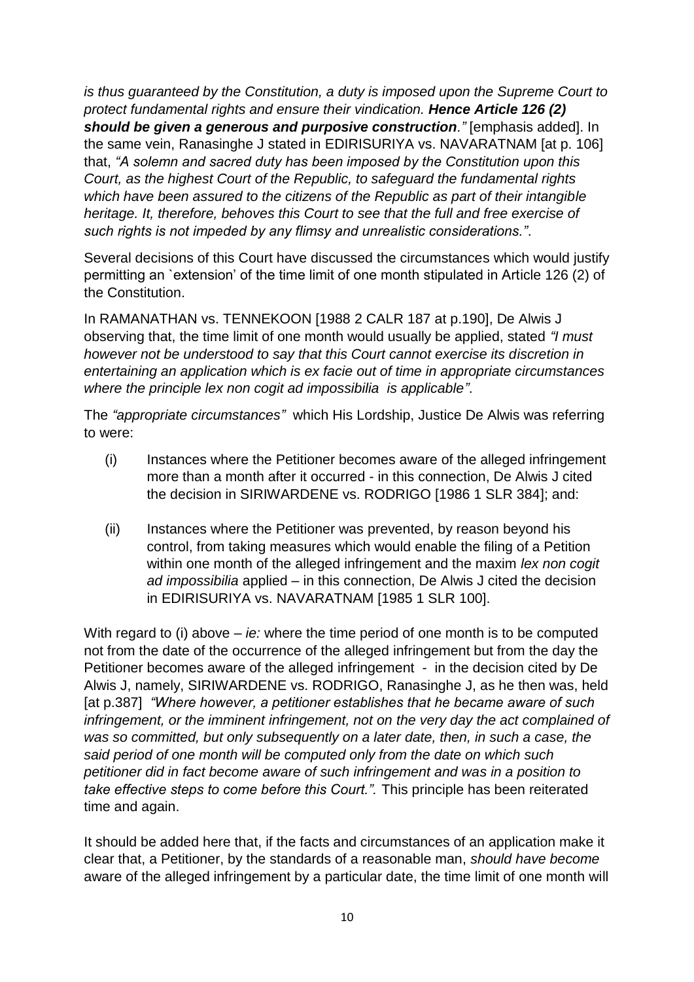*is thus guaranteed by the Constitution, a duty is imposed upon the Supreme Court to protect fundamental rights and ensure their vindication. Hence Article 126 (2) should be given a generous and purposive construction."* [emphasis added]. In the same vein, Ranasinghe J stated in EDIRISURIYA vs. NAVARATNAM [at p. 106] that, *"A solemn and sacred duty has been imposed by the Constitution upon this Court, as the highest Court of the Republic, to safeguard the fundamental rights which have been assured to the citizens of the Republic as part of their intangible heritage. It, therefore, behoves this Court to see that the full and free exercise of such rights is not impeded by any flimsy and unrealistic considerations."*.

Several decisions of this Court have discussed the circumstances which would justify permitting an `extension" of the time limit of one month stipulated in Article 126 (2) of the Constitution.

In RAMANATHAN vs. TENNEKOON [1988 2 CALR 187 at p.190], De Alwis J observing that, the time limit of one month would usually be applied, stated *"I must however not be understood to say that this Court cannot exercise its discretion in entertaining an application which is ex facie out of time in appropriate circumstances where the principle lex non cogit ad impossibilia is applicable"*.

The *"appropriate circumstances"* which His Lordship, Justice De Alwis was referring to were:

- (i) Instances where the Petitioner becomes aware of the alleged infringement more than a month after it occurred - in this connection, De Alwis J cited the decision in SIRIWARDENE vs. RODRIGO [1986 1 SLR 384]; and:
- (ii) Instances where the Petitioner was prevented, by reason beyond his control, from taking measures which would enable the filing of a Petition within one month of the alleged infringement and the maxim *lex non cogit ad impossibilia* applied – in this connection, De Alwis J cited the decision in EDIRISURIYA vs. NAVARATNAM [1985 1 SLR 100].

With regard to (i) above – *ie:* where the time period of one month is to be computed not from the date of the occurrence of the alleged infringement but from the day the Petitioner becomes aware of the alleged infringement - in the decision cited by De Alwis J, namely, SIRIWARDENE vs. RODRIGO, Ranasinghe J, as he then was, held [at p.387] *"Where however, a petitioner establishes that he became aware of such*  infringement, or the imminent infringement, not on the very day the act complained of *was so committed, but only subsequently on a later date, then, in such a case, the said period of one month will be computed only from the date on which such petitioner did in fact become aware of such infringement and was in a position to take effective steps to come before this Court.".* This principle has been reiterated time and again.

It should be added here that, if the facts and circumstances of an application make it clear that, a Petitioner, by the standards of a reasonable man, *should have become*  aware of the alleged infringement by a particular date, the time limit of one month will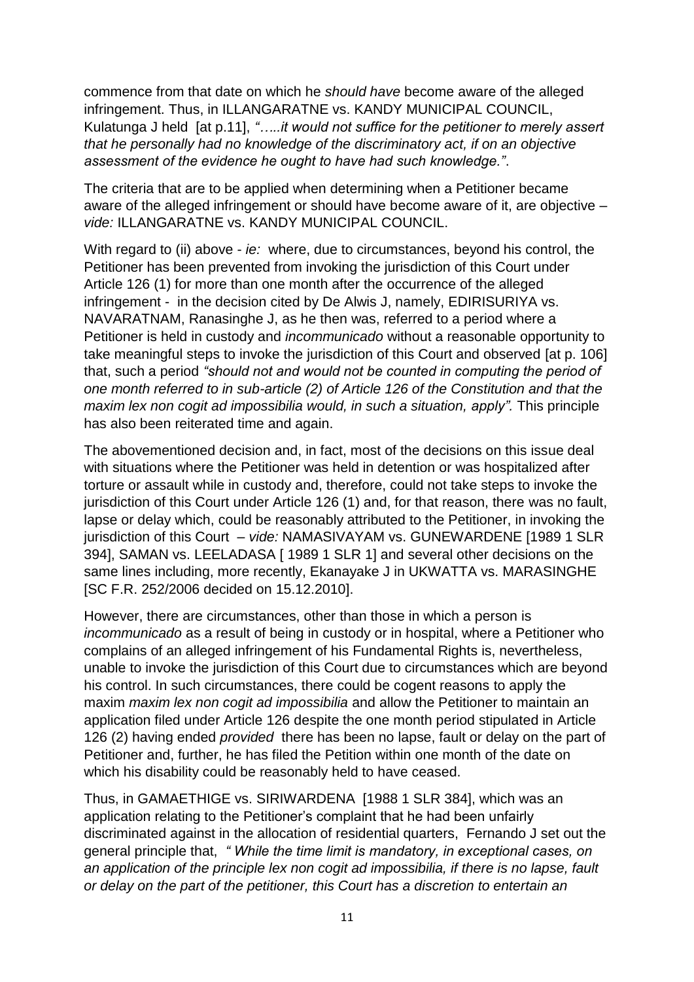commence from that date on which he *should have* become aware of the alleged infringement. Thus, in ILLANGARATNE vs. KANDY MUNICIPAL COUNCIL, Kulatunga J held [at p.11], *"…..it would not suffice for the petitioner to merely assert that he personally had no knowledge of the discriminatory act, if on an objective assessment of the evidence he ought to have had such knowledge."*.

The criteria that are to be applied when determining when a Petitioner became aware of the alleged infringement or should have become aware of it, are objective – *vide:* ILLANGARATNE vs. KANDY MUNICIPAL COUNCIL.

With regard to (ii) above - *ie:* where, due to circumstances, beyond his control, the Petitioner has been prevented from invoking the jurisdiction of this Court under Article 126 (1) for more than one month after the occurrence of the alleged infringement - in the decision cited by De Alwis J, namely, EDIRISURIYA vs. NAVARATNAM, Ranasinghe J, as he then was, referred to a period where a Petitioner is held in custody and *incommunicado* without a reasonable opportunity to take meaningful steps to invoke the jurisdiction of this Court and observed [at p. 106] that, such a period *"should not and would not be counted in computing the period of one month referred to in sub-article (2) of Article 126 of the Constitution and that the maxim lex non cogit ad impossibilia would, in such a situation, apply".* This principle has also been reiterated time and again.

The abovementioned decision and, in fact, most of the decisions on this issue deal with situations where the Petitioner was held in detention or was hospitalized after torture or assault while in custody and, therefore, could not take steps to invoke the jurisdiction of this Court under Article 126 (1) and, for that reason, there was no fault, lapse or delay which, could be reasonably attributed to the Petitioner, in invoking the jurisdiction of this Court – *vide:* NAMASIVAYAM vs. GUNEWARDENE [1989 1 SLR 394], SAMAN vs. LEELADASA [ 1989 1 SLR 1] and several other decisions on the same lines including, more recently, Ekanayake J in UKWATTA vs. MARASINGHE [SC F.R. 252/2006 decided on 15.12.2010].

However, there are circumstances, other than those in which a person is *incommunicado* as a result of being in custody or in hospital, where a Petitioner who complains of an alleged infringement of his Fundamental Rights is, nevertheless, unable to invoke the jurisdiction of this Court due to circumstances which are beyond his control. In such circumstances, there could be cogent reasons to apply the maxim *maxim lex non cogit ad impossibilia* and allow the Petitioner to maintain an application filed under Article 126 despite the one month period stipulated in Article 126 (2) having ended *provided* there has been no lapse, fault or delay on the part of Petitioner and, further, he has filed the Petition within one month of the date on which his disability could be reasonably held to have ceased.

Thus, in GAMAETHIGE vs. SIRIWARDENA [1988 1 SLR 384], which was an application relating to the Petitioner"s complaint that he had been unfairly discriminated against in the allocation of residential quarters, Fernando J set out the general principle that, *" While the time limit is mandatory, in exceptional cases, on an application of the principle lex non cogit ad impossibilia, if there is no lapse, fault or delay on the part of the petitioner, this Court has a discretion to entertain an*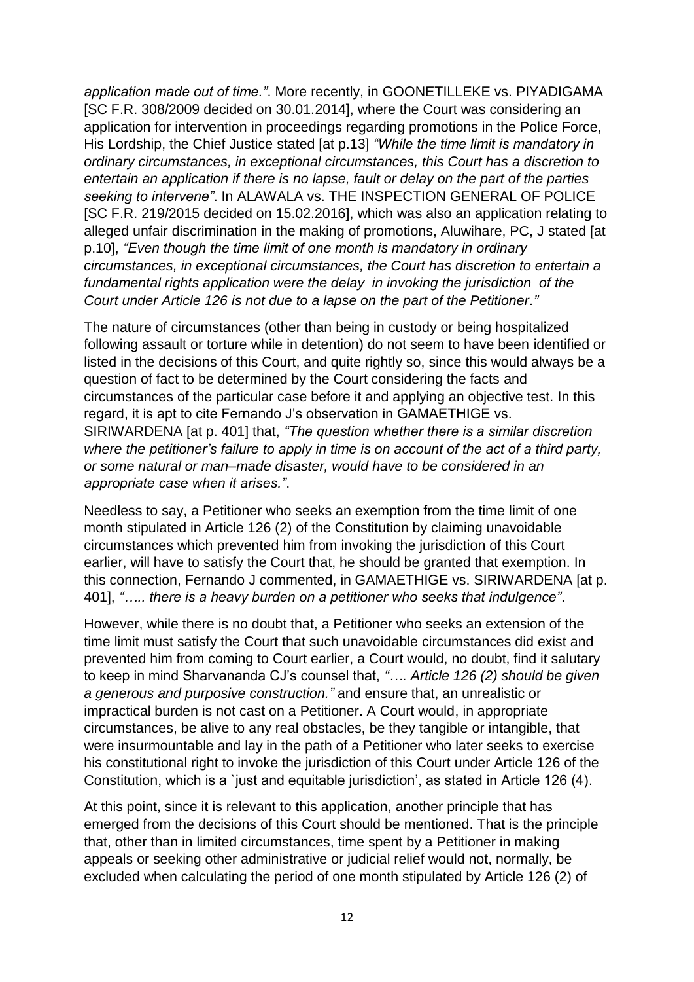*application made out of time."*. More recently, in GOONETILLEKE vs. PIYADIGAMA [SC F.R. 308/2009 decided on 30.01.2014], where the Court was considering an application for intervention in proceedings regarding promotions in the Police Force, His Lordship, the Chief Justice stated [at p.13] *"While the time limit is mandatory in ordinary circumstances, in exceptional circumstances, this Court has a discretion to entertain an application if there is no lapse, fault or delay on the part of the parties seeking to intervene"*. In ALAWALA vs. THE INSPECTION GENERAL OF POLICE [SC F.R. 219/2015 decided on 15.02.2016], which was also an application relating to alleged unfair discrimination in the making of promotions, Aluwihare, PC, J stated [at p.10], *"Even though the time limit of one month is mandatory in ordinary circumstances, in exceptional circumstances, the Court has discretion to entertain a fundamental rights application were the delay in invoking the jurisdiction of the Court under Article 126 is not due to a lapse on the part of the Petitioner."*

The nature of circumstances (other than being in custody or being hospitalized following assault or torture while in detention) do not seem to have been identified or listed in the decisions of this Court, and quite rightly so, since this would always be a question of fact to be determined by the Court considering the facts and circumstances of the particular case before it and applying an objective test. In this regard, it is apt to cite Fernando J"s observation in GAMAETHIGE vs. SIRIWARDENA [at p. 401] that, *"The question whether there is a similar discretion where the petitioner's failure to apply in time is on account of the act of a third party, or some natural or man–made disaster, would have to be considered in an appropriate case when it arises."*.

Needless to say, a Petitioner who seeks an exemption from the time limit of one month stipulated in Article 126 (2) of the Constitution by claiming unavoidable circumstances which prevented him from invoking the jurisdiction of this Court earlier, will have to satisfy the Court that, he should be granted that exemption. In this connection, Fernando J commented, in GAMAETHIGE vs. SIRIWARDENA [at p. 401], *"….. there is a heavy burden on a petitioner who seeks that indulgence"*.

However, while there is no doubt that, a Petitioner who seeks an extension of the time limit must satisfy the Court that such unavoidable circumstances did exist and prevented him from coming to Court earlier, a Court would, no doubt, find it salutary to keep in mind Sharvananda CJ"s counsel that, *"…. Article 126 (2) should be given a generous and purposive construction."* and ensure that, an unrealistic or impractical burden is not cast on a Petitioner. A Court would, in appropriate circumstances, be alive to any real obstacles, be they tangible or intangible, that were insurmountable and lay in the path of a Petitioner who later seeks to exercise his constitutional right to invoke the jurisdiction of this Court under Article 126 of the Constitution, which is a `just and equitable jurisdiction", as stated in Article 126 (4).

At this point, since it is relevant to this application, another principle that has emerged from the decisions of this Court should be mentioned. That is the principle that, other than in limited circumstances, time spent by a Petitioner in making appeals or seeking other administrative or judicial relief would not, normally, be excluded when calculating the period of one month stipulated by Article 126 (2) of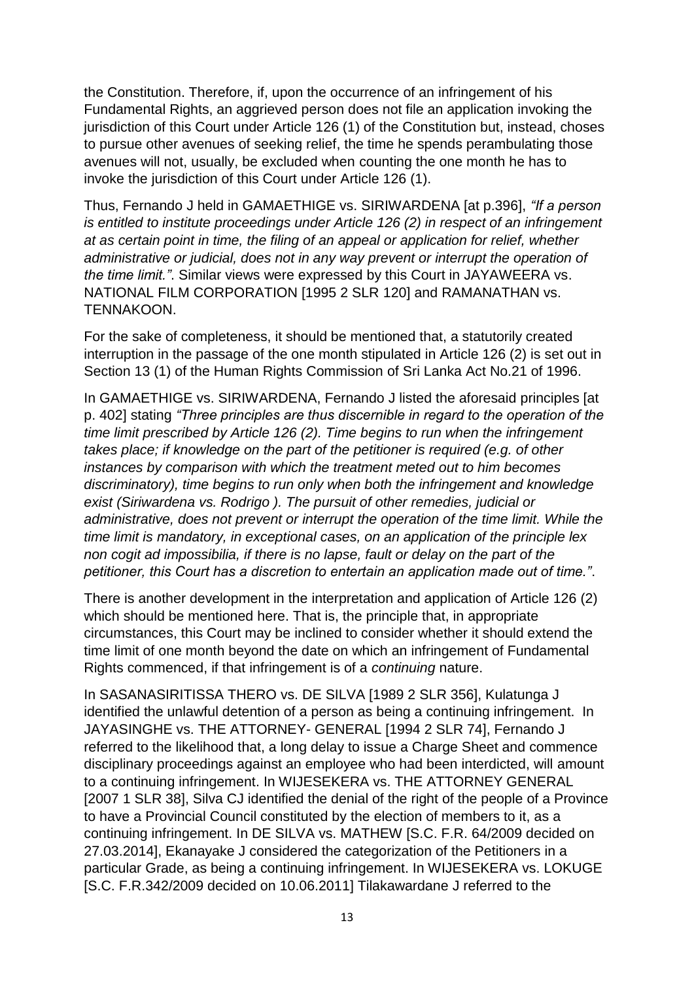the Constitution. Therefore, if, upon the occurrence of an infringement of his Fundamental Rights, an aggrieved person does not file an application invoking the jurisdiction of this Court under Article 126 (1) of the Constitution but, instead, choses to pursue other avenues of seeking relief, the time he spends perambulating those avenues will not, usually, be excluded when counting the one month he has to invoke the jurisdiction of this Court under Article 126 (1).

Thus, Fernando J held in GAMAETHIGE vs. SIRIWARDENA [at p.396], *"If a person is entitled to institute proceedings under Article 126 (2) in respect of an infringement at as certain point in time, the filing of an appeal or application for relief, whether administrative or judicial, does not in any way prevent or interrupt the operation of the time limit."*. Similar views were expressed by this Court in JAYAWEERA vs. NATIONAL FILM CORPORATION [1995 2 SLR 120] and RAMANATHAN vs. TENNAKOON.

For the sake of completeness, it should be mentioned that, a statutorily created interruption in the passage of the one month stipulated in Article 126 (2) is set out in Section 13 (1) of the Human Rights Commission of Sri Lanka Act No.21 of 1996.

In GAMAETHIGE vs. SIRIWARDENA, Fernando J listed the aforesaid principles [at p. 402] stating *"Three principles are thus discernible in regard to the operation of the time limit prescribed by Article 126 (2). Time begins to run when the infringement takes place; if knowledge on the part of the petitioner is required (e.g. of other instances by comparison with which the treatment meted out to him becomes discriminatory), time begins to run only when both the infringement and knowledge exist (Siriwardena vs. Rodrigo ). The pursuit of other remedies, judicial or administrative, does not prevent or interrupt the operation of the time limit. While the time limit is mandatory, in exceptional cases, on an application of the principle lex non cogit ad impossibilia, if there is no lapse, fault or delay on the part of the petitioner, this Court has a discretion to entertain an application made out of time."*.

There is another development in the interpretation and application of Article 126 (2) which should be mentioned here. That is, the principle that, in appropriate circumstances, this Court may be inclined to consider whether it should extend the time limit of one month beyond the date on which an infringement of Fundamental Rights commenced, if that infringement is of a *continuing* nature.

In SASANASIRITISSA THERO vs. DE SILVA [1989 2 SLR 356], Kulatunga J identified the unlawful detention of a person as being a continuing infringement. In JAYASINGHE vs. THE ATTORNEY- GENERAL [1994 2 SLR 74], Fernando J referred to the likelihood that, a long delay to issue a Charge Sheet and commence disciplinary proceedings against an employee who had been interdicted, will amount to a continuing infringement. In WIJESEKERA vs. THE ATTORNEY GENERAL [2007 1 SLR 38], Silva CJ identified the denial of the right of the people of a Province to have a Provincial Council constituted by the election of members to it, as a continuing infringement. In DE SILVA vs. MATHEW [S.C. F.R. 64/2009 decided on 27.03.2014], Ekanayake J considered the categorization of the Petitioners in a particular Grade, as being a continuing infringement. In WIJESEKERA vs. LOKUGE [S.C. F.R.342/2009 decided on 10.06.2011] Tilakawardane J referred to the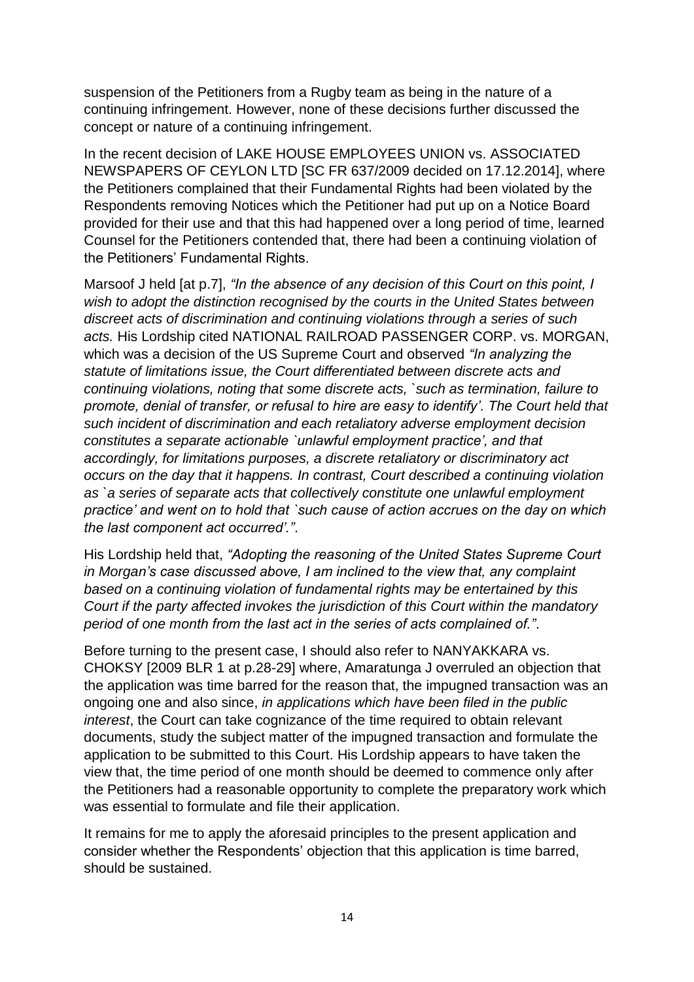suspension of the Petitioners from a Rugby team as being in the nature of a continuing infringement. However, none of these decisions further discussed the concept or nature of a continuing infringement.

In the recent decision of LAKE HOUSE EMPLOYEES UNION vs. ASSOCIATED NEWSPAPERS OF CEYLON LTD [SC FR 637/2009 decided on 17.12.2014], where the Petitioners complained that their Fundamental Rights had been violated by the Respondents removing Notices which the Petitioner had put up on a Notice Board provided for their use and that this had happened over a long period of time, learned Counsel for the Petitioners contended that, there had been a continuing violation of the Petitioners" Fundamental Rights.

Marsoof J held [at p.7], *"In the absence of any decision of this Court on this point, I wish to adopt the distinction recognised by the courts in the United States between discreet acts of discrimination and continuing violations through a series of such acts.* His Lordship cited NATIONAL RAILROAD PASSENGER CORP. vs. MORGAN, which was a decision of the US Supreme Court and observed *"In analyzing the statute of limitations issue, the Court differentiated between discrete acts and continuing violations, noting that some discrete acts, `such as termination, failure to promote, denial of transfer, or refusal to hire are easy to identify'. The Court held that such incident of discrimination and each retaliatory adverse employment decision constitutes a separate actionable `unlawful employment practice', and that accordingly, for limitations purposes, a discrete retaliatory or discriminatory act occurs on the day that it happens. In contrast, Court described a continuing violation as `a series of separate acts that collectively constitute one unlawful employment practice' and went on to hold that `such cause of action accrues on the day on which the last component act occurred'."*.

His Lordship held that, *"Adopting the reasoning of the United States Supreme Court in Morgan's case discussed above, I am inclined to the view that, any complaint based on a continuing violation of fundamental rights may be entertained by this Court if the party affected invokes the jurisdiction of this Court within the mandatory period of one month from the last act in the series of acts complained of."*.

Before turning to the present case, I should also refer to NANYAKKARA vs. CHOKSY [2009 BLR 1 at p.28-29] where, Amaratunga J overruled an objection that the application was time barred for the reason that, the impugned transaction was an ongoing one and also since, *in applications which have been filed in the public interest*, the Court can take cognizance of the time required to obtain relevant documents, study the subject matter of the impugned transaction and formulate the application to be submitted to this Court. His Lordship appears to have taken the view that, the time period of one month should be deemed to commence only after the Petitioners had a reasonable opportunity to complete the preparatory work which was essential to formulate and file their application.

It remains for me to apply the aforesaid principles to the present application and consider whether the Respondents" objection that this application is time barred, should be sustained.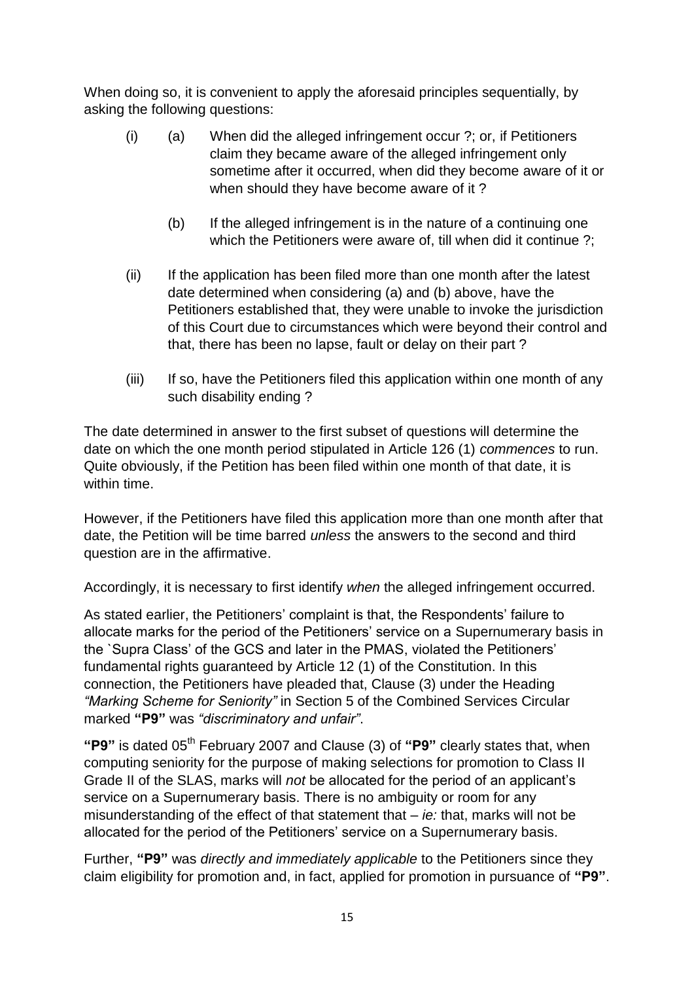When doing so, it is convenient to apply the aforesaid principles sequentially, by asking the following questions:

- (i) (a) When did the alleged infringement occur ?; or, if Petitioners claim they became aware of the alleged infringement only sometime after it occurred, when did they become aware of it or when should they have become aware of it ?
	- (b) If the alleged infringement is in the nature of a continuing one which the Petitioners were aware of, till when did it continue ?;
- (ii) If the application has been filed more than one month after the latest date determined when considering (a) and (b) above, have the Petitioners established that, they were unable to invoke the jurisdiction of this Court due to circumstances which were beyond their control and that, there has been no lapse, fault or delay on their part ?
- (iii) If so, have the Petitioners filed this application within one month of any such disability ending ?

The date determined in answer to the first subset of questions will determine the date on which the one month period stipulated in Article 126 (1) *commences* to run. Quite obviously, if the Petition has been filed within one month of that date, it is within time.

However, if the Petitioners have filed this application more than one month after that date, the Petition will be time barred *unless* the answers to the second and third question are in the affirmative.

Accordingly, it is necessary to first identify *when* the alleged infringement occurred.

As stated earlier, the Petitioners' complaint is that, the Respondents' failure to allocate marks for the period of the Petitioners" service on a Supernumerary basis in the `Supra Class" of the GCS and later in the PMAS, violated the Petitioners" fundamental rights guaranteed by Article 12 (1) of the Constitution. In this connection, the Petitioners have pleaded that, Clause (3) under the Heading *"Marking Scheme for Seniority"* in Section 5 of the Combined Services Circular marked **"P9"** was *"discriminatory and unfair"*.

"P9" is dated 05<sup>th</sup> February 2007 and Clause (3) of "P9" clearly states that, when computing seniority for the purpose of making selections for promotion to Class II Grade II of the SLAS, marks will *not* be allocated for the period of an applicant"s service on a Supernumerary basis. There is no ambiguity or room for any misunderstanding of the effect of that statement that – *ie:* that, marks will not be allocated for the period of the Petitioners' service on a Supernumerary basis.

Further, **"P9"** was *directly and immediately applicable* to the Petitioners since they claim eligibility for promotion and, in fact, applied for promotion in pursuance of **"P9"**.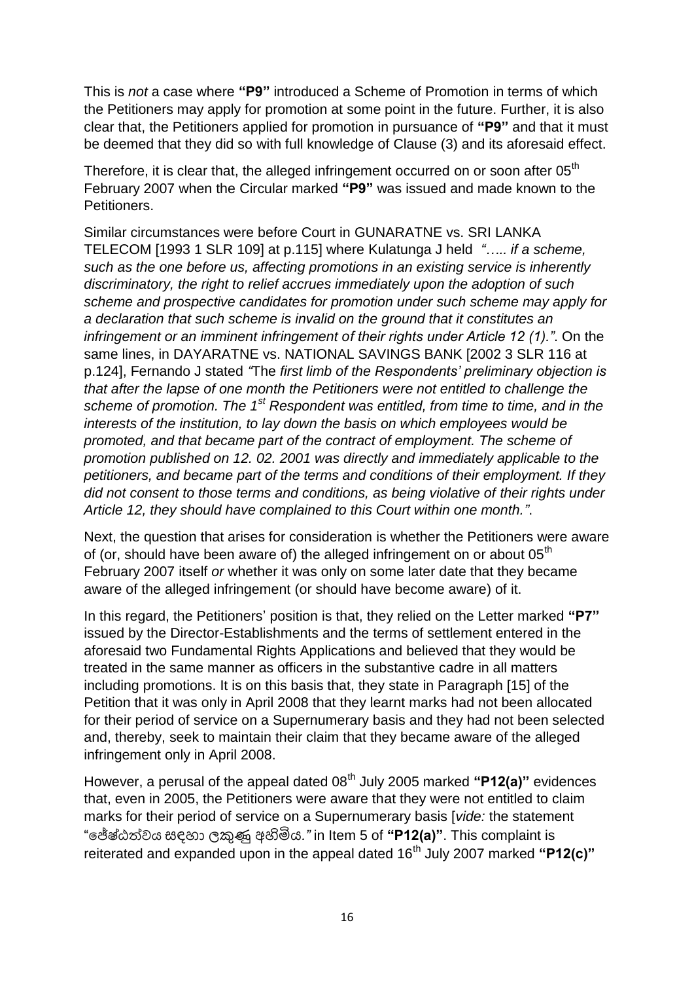This is *not* a case where **"P9"** introduced a Scheme of Promotion in terms of which the Petitioners may apply for promotion at some point in the future. Further, it is also clear that, the Petitioners applied for promotion in pursuance of **"P9"** and that it must be deemed that they did so with full knowledge of Clause (3) and its aforesaid effect.

Therefore, it is clear that, the alleged infringement occurred on or soon after 05<sup>th</sup> February 2007 when the Circular marked **"P9"** was issued and made known to the Petitioners.

Similar circumstances were before Court in GUNARATNE vs. SRI LANKA TELECOM [1993 1 SLR 109] at p.115] where Kulatunga J held *"….. if a scheme, such as the one before us, affecting promotions in an existing service is inherently discriminatory, the right to relief accrues immediately upon the adoption of such scheme and prospective candidates for promotion under such scheme may apply for a declaration that such scheme is invalid on the ground that it constitutes an infringement or an imminent infringement of their rights under Article 12 (1)."*. On the same lines, in DAYARATNE vs. NATIONAL SAVINGS BANK [2002 3 SLR 116 at p.124], Fernando J stated *"*The *first limb of the Respondents' preliminary objection is that after the lapse of one month the Petitioners were not entitled to challenge the scheme of promotion. The 1st Respondent was entitled, from time to time, and in the interests of the institution, to lay down the basis on which employees would be promoted, and that became part of the contract of employment. The scheme of promotion published on 12. 02. 2001 was directly and immediately applicable to the petitioners, and became part of the terms and conditions of their employment. If they did not consent to those terms and conditions, as being violative of their rights under Article 12, they should have complained to this Court within one month."*.

Next, the question that arises for consideration is whether the Petitioners were aware of (or, should have been aware of) the alleged infringement on or about  $05<sup>th</sup>$ February 2007 itself *or* whether it was only on some later date that they became aware of the alleged infringement (or should have become aware) of it.

In this regard, the Petitioners" position is that, they relied on the Letter marked **"P7"** issued by the Director-Establishments and the terms of settlement entered in the aforesaid two Fundamental Rights Applications and believed that they would be treated in the same manner as officers in the substantive cadre in all matters including promotions. It is on this basis that, they state in Paragraph [15] of the Petition that it was only in April 2008 that they learnt marks had not been allocated for their period of service on a Supernumerary basis and they had not been selected and, thereby, seek to maintain their claim that they became aware of the alleged infringement only in April 2008.

However, a perusal of the appeal dated 08th July 2005 marked **"P12(a)"** evidences that, even in 2005, the Petitioners were aware that they were not entitled to claim marks for their period of service on a Supernumerary basis [*vide:* the statement "පේෂ්ඨත්වය සඳහා ලකුණු අහිමිය*."* in Item 5 of **"P12(a)"**. This complaint is reiterated and expanded upon in the appeal dated 16<sup>th</sup> July 2007 marked "P12(c)"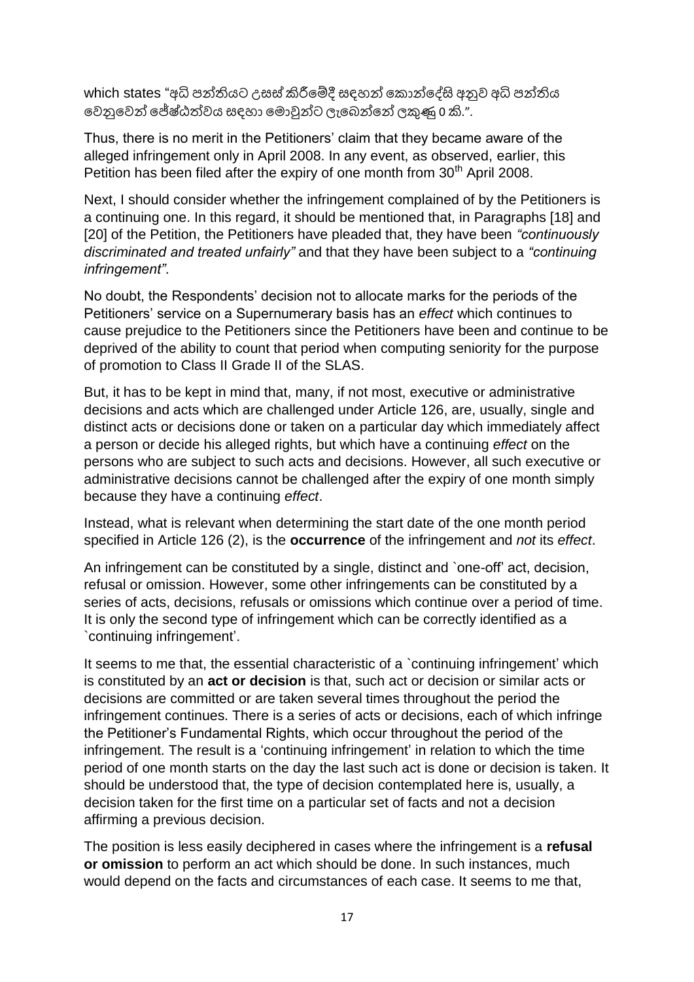which states "අධි පන්තියට උසස් කිරීමේදී සඳහන් කොන්දේසි අනුව අධි පන්තිය පවනුපවන් පේෂ්ඨත්වය සඳහා ප ොවුන්ට ලැපෙන්පන් ලකුණු 0 කි."*.*

Thus, there is no merit in the Petitioners' claim that they became aware of the alleged infringement only in April 2008. In any event, as observed, earlier, this Petition has been filed after the expiry of one month from 30<sup>th</sup> April 2008.

Next, I should consider whether the infringement complained of by the Petitioners is a continuing one. In this regard, it should be mentioned that, in Paragraphs [18] and [20] of the Petition, the Petitioners have pleaded that, they have been *"continuously discriminated and treated unfairly"* and that they have been subject to a *"continuing infringement"*.

No doubt, the Respondents" decision not to allocate marks for the periods of the Petitioners" service on a Supernumerary basis has an *effect* which continues to cause prejudice to the Petitioners since the Petitioners have been and continue to be deprived of the ability to count that period when computing seniority for the purpose of promotion to Class II Grade II of the SLAS.

But, it has to be kept in mind that, many, if not most, executive or administrative decisions and acts which are challenged under Article 126, are, usually, single and distinct acts or decisions done or taken on a particular day which immediately affect a person or decide his alleged rights, but which have a continuing *effect* on the persons who are subject to such acts and decisions. However, all such executive or administrative decisions cannot be challenged after the expiry of one month simply because they have a continuing *effect*.

Instead, what is relevant when determining the start date of the one month period specified in Article 126 (2), is the **occurrence** of the infringement and *not* its *effect*.

An infringement can be constituted by a single, distinct and `one-off" act, decision, refusal or omission. However, some other infringements can be constituted by a series of acts, decisions, refusals or omissions which continue over a period of time. It is only the second type of infringement which can be correctly identified as a `continuing infringement".

It seems to me that, the essential characteristic of a `continuing infringement' which is constituted by an **act or decision** is that, such act or decision or similar acts or decisions are committed or are taken several times throughout the period the infringement continues. There is a series of acts or decisions, each of which infringe the Petitioner"s Fundamental Rights, which occur throughout the period of the infringement. The result is a 'continuing infringement' in relation to which the time period of one month starts on the day the last such act is done or decision is taken. It should be understood that, the type of decision contemplated here is, usually, a decision taken for the first time on a particular set of facts and not a decision affirming a previous decision.

The position is less easily deciphered in cases where the infringement is a **refusal or omission** to perform an act which should be done. In such instances, much would depend on the facts and circumstances of each case. It seems to me that,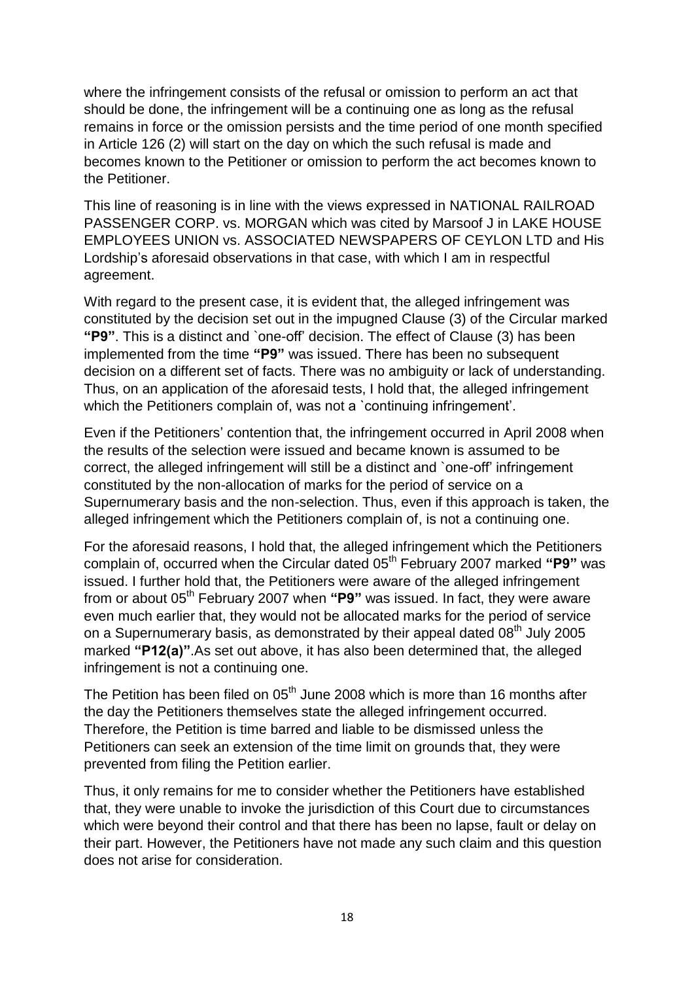where the infringement consists of the refusal or omission to perform an act that should be done, the infringement will be a continuing one as long as the refusal remains in force or the omission persists and the time period of one month specified in Article 126 (2) will start on the day on which the such refusal is made and becomes known to the Petitioner or omission to perform the act becomes known to the Petitioner.

This line of reasoning is in line with the views expressed in NATIONAL RAILROAD PASSENGER CORP. vs. MORGAN which was cited by Marsoof J in LAKE HOUSE EMPLOYEES UNION vs. ASSOCIATED NEWSPAPERS OF CEYLON LTD and His Lordship"s aforesaid observations in that case, with which I am in respectful agreement.

With regard to the present case, it is evident that, the alleged infringement was constituted by the decision set out in the impugned Clause (3) of the Circular marked **"P9"**. This is a distinct and `one-off" decision. The effect of Clause (3) has been implemented from the time **"P9"** was issued. There has been no subsequent decision on a different set of facts. There was no ambiguity or lack of understanding. Thus, on an application of the aforesaid tests, I hold that, the alleged infringement which the Petitioners complain of, was not a 'continuing infringement'.

Even if the Petitioners" contention that, the infringement occurred in April 2008 when the results of the selection were issued and became known is assumed to be correct, the alleged infringement will still be a distinct and `one-off" infringement constituted by the non-allocation of marks for the period of service on a Supernumerary basis and the non-selection. Thus, even if this approach is taken, the alleged infringement which the Petitioners complain of, is not a continuing one.

For the aforesaid reasons, I hold that, the alleged infringement which the Petitioners complain of, occurred when the Circular dated 05<sup>th</sup> February 2007 marked "P9" was issued. I further hold that, the Petitioners were aware of the alleged infringement from or about 05th February 2007 when **"P9"** was issued. In fact, they were aware even much earlier that, they would not be allocated marks for the period of service on a Supernumerary basis, as demonstrated by their appeal dated 08<sup>th</sup> July 2005 marked **"P12(a)"**.As set out above, it has also been determined that, the alleged infringement is not a continuing one.

The Petition has been filed on  $05<sup>th</sup>$  June 2008 which is more than 16 months after the day the Petitioners themselves state the alleged infringement occurred. Therefore, the Petition is time barred and liable to be dismissed unless the Petitioners can seek an extension of the time limit on grounds that, they were prevented from filing the Petition earlier.

Thus, it only remains for me to consider whether the Petitioners have established that, they were unable to invoke the jurisdiction of this Court due to circumstances which were beyond their control and that there has been no lapse, fault or delay on their part. However, the Petitioners have not made any such claim and this question does not arise for consideration.